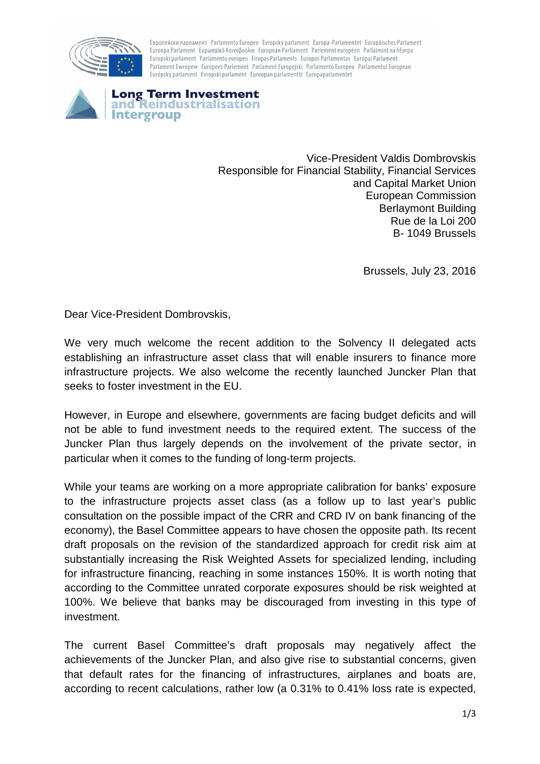

Европейски парламент Parlamento Europeo Evropský parlament Europa-Parlamentet Europäisches Parlament Euroopa Parlament Ευρωπαϊκό Κοινοβούλιο European Parliament Parlement européen Parlaimint na hEorpa Europski parlament Parlamento europeo Eiropas Parlaments Europos Parlamentas Európai Parlament Parlament Ewropew Europees Parlement Parlament Europeiski Parlamento Europeu Parlamentul European Európsky parlament Evropski parlament Euroopan parlamentti Europaparlamentet



Vice-President Valdis Dombrovskis Responsible for Financial Stability, Financial Services and Capital Market Union European Commission Berlaymont Building Rue de la Loi 200 B- 1049 Brussels

Brussels, July 23, 2016

Dear Vice-President Dombrovskis,

We very much welcome the recent addition to the Solvency II delegated acts establishing an infrastructure asset class that will enable insurers to finance more infrastructure projects. We also welcome the recently launched Juncker Plan that seeks to foster investment in the EU.

However, in Europe and elsewhere, governments are facing budget deficits and will not be able to fund investment needs to the required extent. The success of the Juncker Plan thus largely depends on the involvement of the private sector, in particular when it comes to the funding of long-term projects.

While your teams are working on a more appropriate calibration for banks' exposure to the infrastructure projects asset class (as a follow up to last year's public consultation on the possible impact of the CRR and CRD IV on bank financing of the economy), the Basel Committee appears to have chosen the opposite path. Its recent draft proposals on the revision of the standardized approach for credit risk aim at substantially increasing the Risk Weighted Assets for specialized lending, including for infrastructure financing, reaching in some instances 150%. It is worth noting that according to the Committee unrated corporate exposures should be risk weighted at 100%. We believe that banks may be discouraged from investing in this type of investment.

The current Basel Committee's draft proposals may negatively affect the achievements of the Juncker Plan, and also give rise to substantial concerns, given that default rates for the financing of infrastructures, airplanes and boats are, according to recent calculations, rather low (a 0.31% to 0.41% loss rate is expected,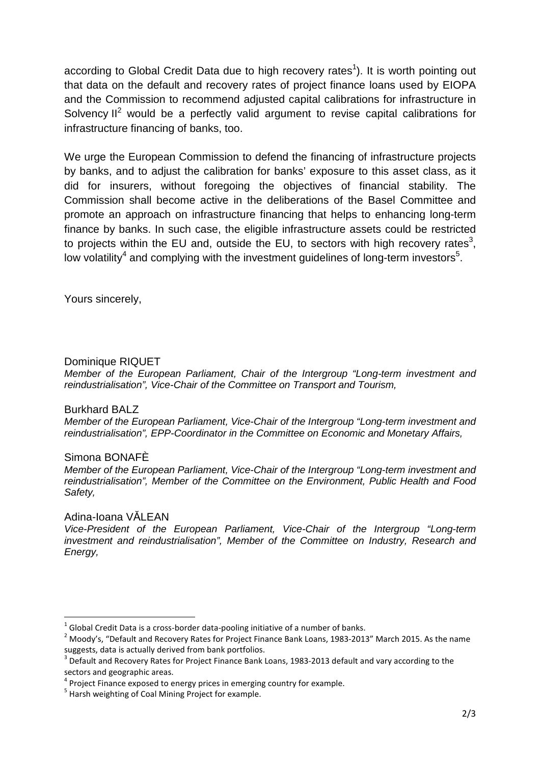according to Global Credit Data due to high recovery rates<sup>1</sup>). It is worth pointing out that data on the default and recovery rates of project finance loans used by EIOPA and the Commission to recommend adjusted capital calibrations for infrastructure in Solvency  $II^2$  would be a perfectly valid argument to revise capital calibrations for infrastructure financing of banks, too.

We urge the European Commission to defend the financing of infrastructure projects by banks, and to adjust the calibration for banks' exposure to this asset class, as it did for insurers, without foregoing the objectives of financial stability. The Commission shall become active in the deliberations of the Basel Committee and promote an approach on infrastructure financing that helps to enhancing long-term finance by banks. In such case, the eligible infrastructure assets could be restricted to projects within the EU and, outside the EU, to sectors with high recovery rates<sup>3</sup>, low volatility<sup>4</sup> and complying with the investment guidelines of long-term investors<sup>5</sup>.

Yours sincerely,

# Dominique RIQUET

Member of the European Parliament, Chair of the Intergroup "Long-term investment and reindustrialisation", Vice-Chair of the Committee on Transport and Tourism,

## Burkhard BALZ

Member of the European Parliament, Vice-Chair of the Intergroup "Long-term investment and reindustrialisation", EPP-Coordinator in the Committee on Economic and Monetary Affairs,

# Simona BONAFÈ

Member of the European Parliament, Vice-Chair of the Intergroup "Long-term investment and reindustrialisation", Member of the Committee on the Environment, Public Health and Food Safety,

## Adina-Ioana VĂLEAN

 $\overline{\phantom{a}}$ 

Vice-President of the European Parliament, Vice-Chair of the Intergroup "Long-term investment and reindustrialisation", Member of the Committee on Industry, Research and Energy,

 $^1$  Global Credit Data is a cross-border data-pooling initiative of a number of banks.

 $^2$  Moody's, "Default and Recovery Rates for Project Finance Bank Loans, 1983-2013" March 2015. As the name suggests, data is actually derived from bank portfolios.

 $3$  Default and Recovery Rates for Project Finance Bank Loans, 1983-2013 default and vary according to the sectors and geographic areas.

 $4$  Project Finance exposed to energy prices in emerging country for example.

<sup>&</sup>lt;sup>5</sup> Harsh weighting of Coal Mining Project for example.